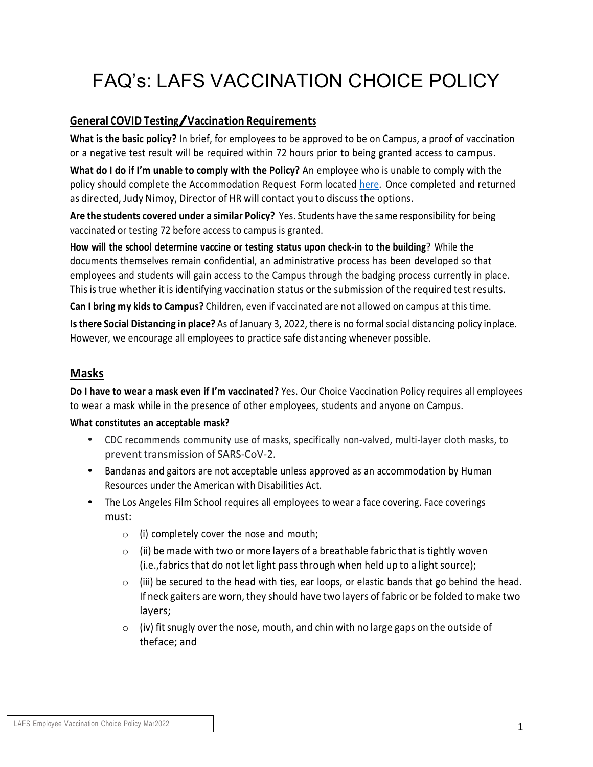# FAQ's: LAFS VACCINATION CHOICE POLICY

## **General COVID Testing/Vaccination Requirements**

**What is the basic policy?** In brief, for employees to be approved to be on Campus, a proof of vaccination or a negative test result will be required within 72 hours prior to being granted access to campus.

**What do I do if I'm unable to comply with the Policy?** An employee who is unable to comply with the policy should complete the Accommodation Request Form located here. Once completed and returned as directed, Judy Nimoy, Director of HR will contact you to discussthe options.

**Are the students covered under a similar Policy?** Yes. Students have the same responsibility for being vaccinated or testing 72 before access to campus is granted.

**How will the school determine vaccine or testing status upon check-in to the building**? While the documents themselves remain confidential, an administrative process has been developed so that employees and students will gain access to the Campus through the badging process currently in place. Thisis true whether it is identifying vaccination status or the submission of the required test results.

**Can I bring my kids to Campus?** Children, even if vaccinated are not allowed on campus at this time.

**Isthere Social Distancing in place?** As of January 3, 2022, there is no formal social distancing policy inplace. However, we encourage all employees to practice safe distancing whenever possible.

## **Masks**

**Do I have to wear a mask even if I'm vaccinated?** Yes. Our Choice Vaccination Policy requires all employees to wear a mask while in the presence of other employees, students and anyone on Campus.

### **What constitutes an acceptable mask?**

- CDC recommends community use of masks, specifically non-valved, multi-layer cloth masks, to prevent transmission of SARS-CoV-2.
- Bandanas and gaitors are not acceptable unless approved as an accommodation by Human Resources under the American with Disabilities Act.
- The Los Angeles Film School requires all employees to wear a face covering. Face coverings must:
	- $\circ$  (i) completely cover the nose and mouth;
	- $\circ$  (ii) be made with two or more layers of a breathable fabric that is tightly woven (i.e.,fabrics that do not let light passthrough when held up to a light source);
	- $\circ$  (iii) be secured to the head with ties, ear loops, or elastic bands that go behind the head. If neck gaiters are worn, they should have two layers of fabric or be folded to make two layers;
	- $\circ$  (iv) fit snugly over the nose, mouth, and chin with no large gaps on the outside of theface; and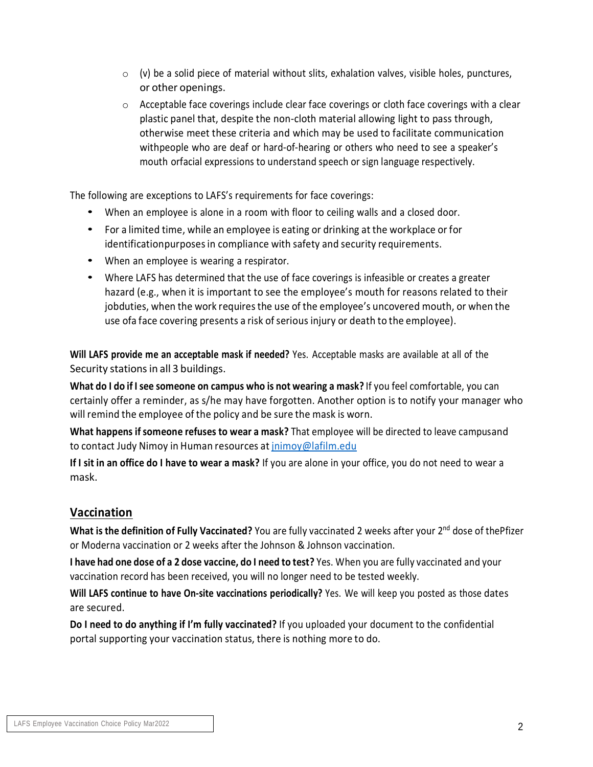- $\circ$  (v) be a solid piece of material without slits, exhalation valves, visible holes, punctures, or other openings.
- $\circ$  Acceptable face coverings include clear face coverings or cloth face coverings with a clear plastic panel that, despite the non-cloth material allowing light to pass through, otherwise meet these criteria and which may be used to facilitate communication withpeople who are deaf or hard-of-hearing or others who need to see a speaker's mouth orfacial expressions to understand speech or sign language respectively.

The following are exceptions to LAFS's requirements for face coverings:

- When an employee is alone in <sup>a</sup> room with floor to ceiling walls and <sup>a</sup> closed door.
- For a limited time, while an employee is eating or drinking at the workplace or for identificationpurposes in compliance with safety and security requirements.
- When an employee is wearing <sup>a</sup> respirator.
- Where LAFS has determined that the use of face coverings is infeasible or creates a greater hazard (e.g., when it is important to see the employee's mouth for reasons related to their jobduties, when the work requiresthe use of the employee's uncovered mouth, or when the use ofa face covering presents a risk of serious injury or death to the employee).

**Will LAFS provide me an acceptable mask if needed?** Yes. Acceptable masks are available at all of the Security stations in all 3 buildings.

**What do I do if I see someone on campus who is not wearing a mask?** If you feel comfortable, you can certainly offer a reminder, as s/he may have forgotten. Another option is to notify your manager who will remind the employee of the policy and be sure the mask is worn.

**What happens if someone refuses to wear a mask?** That employee will be directed to leave campusand to contact Judy Nimoy in Human resources at [jnimoy@lafilm.edu](mailto:jnimoy@lafilm.edu)

**If I sit in an office do I have to wear a mask?** If you are alone in your office, you do not need to wear a mask.

## **Vaccination**

**What is the definition of Fully Vaccinated?** You are fully vaccinated 2 weeks after your 2 nd dose of thePfizer or Moderna vaccination or 2 weeks after the Johnson & Johnson vaccination.

**I have had one dose of a 2 dose vaccine, do I need to test?** Yes. When you are fully vaccinated and your vaccination record has been received, you will no longer need to be tested weekly.

**Will LAFS continue to have On-site vaccinations periodically?** Yes. We will keep you posted as those dates are secured.

**Do I need to do anything if I'm fully vaccinated?** If you uploaded your document to the confidential portal supporting your vaccination status, there is nothing more to do.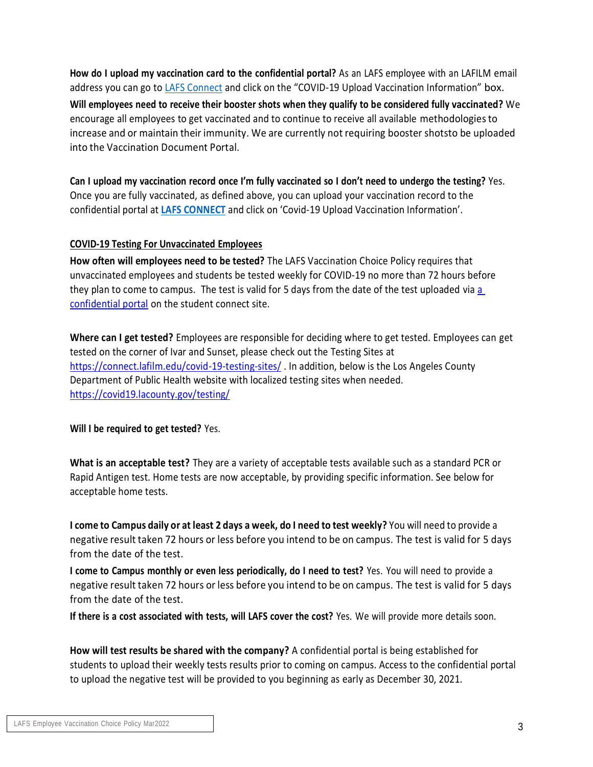**How do I upload my vaccination card to the confidential portal?** As an LAFS employee with an LAFILM email address you can go to LAFS Connect and click on the "COVID-19 Upload Vaccination Information" box. **Will employees need to receive their booster shots when they qualify to be considered fully vaccinated?** We encourage all employees to get vaccinated and to continue to receive all available methodologiesto increase and or maintain their immunity. We are currently not requiring booster shotsto be uploaded into the Vaccination Document Portal.

Can I upload my vaccination record once I'm fully vaccinated so I don't need to undergo the testing? Yes. Once you are fully vaccinated, as defined above, you can upload your vaccination record to the confidential portal at **LAFS CONNECT** and click on 'Covid-19 Upload Vaccination Information'.

#### **COVID-19 Testing For Unvaccinated Employees**

**How often will employees need to be tested?** The LAFS Vaccination Choice Policy requires that unvaccinated employees and students be tested weekly for COVID-19 no more than 72 hours before they plan to come to campus. The test is valid for 5 days from the date of the test uploaded via [a](https://click.info.lafilm.edu/?qs=d52d14d2dd5c20864d498db79b30922e262c80d5176fc8b907039bd238faaf661e7e49e6c96d61949a8630e07a2368b7bf9263a6169b5018)  [confidential portal](https://click.info.lafilm.edu/?qs=d52d14d2dd5c20864d498db79b30922e262c80d5176fc8b907039bd238faaf661e7e49e6c96d61949a8630e07a2368b7bf9263a6169b5018) on the student connect site.

**Where can I get tested?** Employees are responsible for deciding where to get tested. Employees can get tested on the corner of Ivar and Sunset, please check out the Testing Sites at <https://connect.lafilm.edu/covid-19-testing-sites/> . In addition, below is the Los Angeles County Department of Public Health website with localized testing sites when needed. <https://covid19.lacounty.gov/testing/>

#### **Will I be required to get tested?** Yes.

**What is an acceptable test?** They are a variety of acceptable tests available such as a standard PCR or Rapid Antigen test. Home tests are now acceptable, by providing specific information. See below for acceptable home tests.

I come to Campus daily or at least 2 days a week, do I need to test weekly? You will need to provide a negative result taken 72 hours or less before you intend to be on campus. The test is valid for 5 days from the date of the test.

**I come to Campus monthly or even less periodically, do I need to test?** Yes. You will need to provide a negative result taken 72 hours or less before you intend to be on campus. The test is valid for 5 days from the date of the test.

**If there is a cost associated with tests, will LAFS cover the cost?** Yes. We will provide more details soon.

**How will test results be shared with the company?** A confidential portal is being established for students to upload their weekly tests results prior to coming on campus. Access to the confidential portal to upload the negative test will be provided to you beginning as early as December 30, 2021.